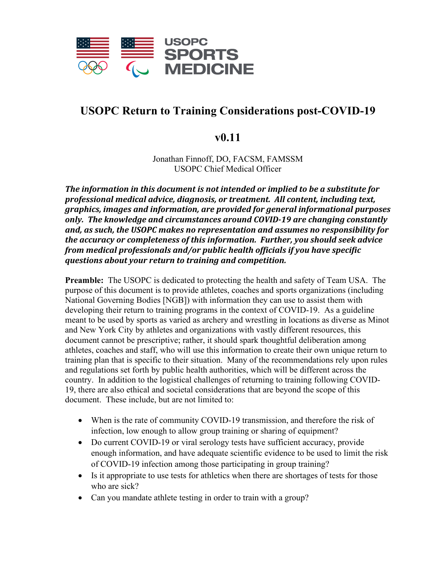

## **USOPC Return to Training Considerations post-COVID-19**

## **v0.11**

Jonathan Finnoff, DO, FACSM, FAMSSM USOPC Chief Medical Officer

*The information in this document is not intended or implied to be a substitute for professional medical advice, diagnosis, or treatment. All content, including text, graphics, images and information, are provided for general informational purposes only. The knowledge and circumstances around COVID-19 are changing constantly and, as such, the USOPC makes no representation and assumes no responsibility for the accuracy or completeness of this information. Further, you should seek advice from medical professionals and/or public health officials if you have specific questions about your return to training and competition.* 

**Preamble:** The USOPC is dedicated to protecting the health and safety of Team USA. The purpose of this document is to provide athletes, coaches and sports organizations (including National Governing Bodies [NGB]) with information they can use to assist them with developing their return to training programs in the context of COVID-19. As a guideline meant to be used by sports as varied as archery and wrestling in locations as diverse as Minot and New York City by athletes and organizations with vastly different resources, this document cannot be prescriptive; rather, it should spark thoughtful deliberation among athletes, coaches and staff, who will use this information to create their own unique return to training plan that is specific to their situation. Many of the recommendations rely upon rules and regulations set forth by public health authorities, which will be different across the country. In addition to the logistical challenges of returning to training following COVID-19, there are also ethical and societal considerations that are beyond the scope of this document. These include, but are not limited to:

- When is the rate of community COVID-19 transmission, and therefore the risk of infection, low enough to allow group training or sharing of equipment?
- Do current COVID-19 or viral serology tests have sufficient accuracy, provide enough information, and have adequate scientific evidence to be used to limit the risk of COVID-19 infection among those participating in group training?
- Is it appropriate to use tests for athletics when there are shortages of tests for those who are sick?
- Can you mandate athlete testing in order to train with a group?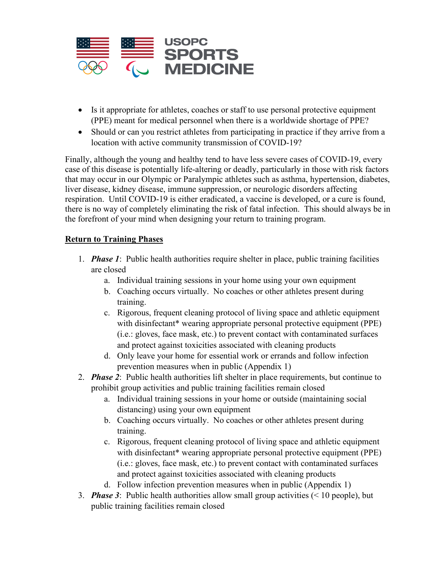

- Is it appropriate for athletes, coaches or staff to use personal protective equipment (PPE) meant for medical personnel when there is a worldwide shortage of PPE?
- Should or can you restrict athletes from participating in practice if they arrive from a location with active community transmission of COVID-19?

Finally, although the young and healthy tend to have less severe cases of COVID-19, every case of this disease is potentially life-altering or deadly, particularly in those with risk factors that may occur in our Olympic or Paralympic athletes such as asthma, hypertension, diabetes, liver disease, kidney disease, immune suppression, or neurologic disorders affecting respiration. Until COVID-19 is either eradicated, a vaccine is developed, or a cure is found, there is no way of completely eliminating the risk of fatal infection. This should always be in the forefront of your mind when designing your return to training program.

## **Return to Training Phases**

- 1. *Phase 1*: Public health authorities require shelter in place, public training facilities are closed
	- a. Individual training sessions in your home using your own equipment
	- b. Coaching occurs virtually. No coaches or other athletes present during training.
	- c. Rigorous, frequent cleaning protocol of living space and athletic equipment with disinfectant\* wearing appropriate personal protective equipment (PPE) (i.e.: gloves, face mask, etc.) to prevent contact with contaminated surfaces and protect against toxicities associated with cleaning products
	- d. Only leave your home for essential work or errands and follow infection prevention measures when in public (Appendix 1)
- 2. *Phase 2*: Public health authorities lift shelter in place requirements, but continue to prohibit group activities and public training facilities remain closed
	- a. Individual training sessions in your home or outside (maintaining social distancing) using your own equipment
	- b. Coaching occurs virtually. No coaches or other athletes present during training.
	- c. Rigorous, frequent cleaning protocol of living space and athletic equipment with disinfectant\* wearing appropriate personal protective equipment (PPE) (i.e.: gloves, face mask, etc.) to prevent contact with contaminated surfaces and protect against toxicities associated with cleaning products
	- d. Follow infection prevention measures when in public (Appendix 1)
- 3. *Phase 3*: Public health authorities allow small group activities (< 10 people), but public training facilities remain closed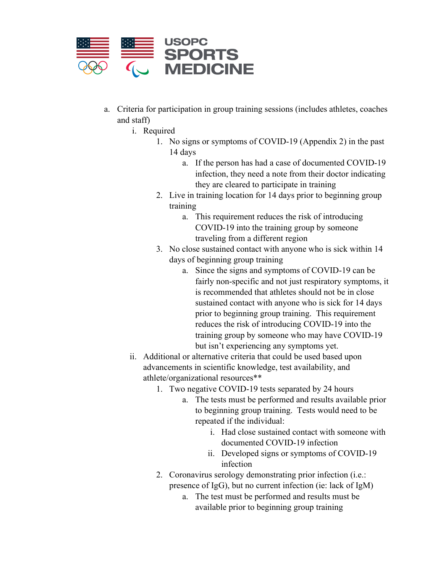

- a. Criteria for participation in group training sessions (includes athletes, coaches and staff)
	- i. Required
		- 1. No signs or symptoms of COVID-19 (Appendix 2) in the past 14 days
			- a. If the person has had a case of documented COVID-19 infection, they need a note from their doctor indicating they are cleared to participate in training
		- 2. Live in training location for 14 days prior to beginning group training
			- a. This requirement reduces the risk of introducing COVID-19 into the training group by someone traveling from a different region
		- 3. No close sustained contact with anyone who is sick within 14 days of beginning group training
			- a. Since the signs and symptoms of COVID-19 can be fairly non-specific and not just respiratory symptoms, it is recommended that athletes should not be in close sustained contact with anyone who is sick for 14 days prior to beginning group training. This requirement reduces the risk of introducing COVID-19 into the training group by someone who may have COVID-19 but isn't experiencing any symptoms yet.
	- ii. Additional or alternative criteria that could be used based upon advancements in scientific knowledge, test availability, and athlete/organizational resources\*\*
		- 1. Two negative COVID-19 tests separated by 24 hours
			- a. The tests must be performed and results available prior to beginning group training. Tests would need to be repeated if the individual:
				- i. Had close sustained contact with someone with documented COVID-19 infection
				- ii. Developed signs or symptoms of COVID-19 infection
		- 2. Coronavirus serology demonstrating prior infection (i.e.: presence of IgG), but no current infection (ie: lack of IgM)
			- a. The test must be performed and results must be available prior to beginning group training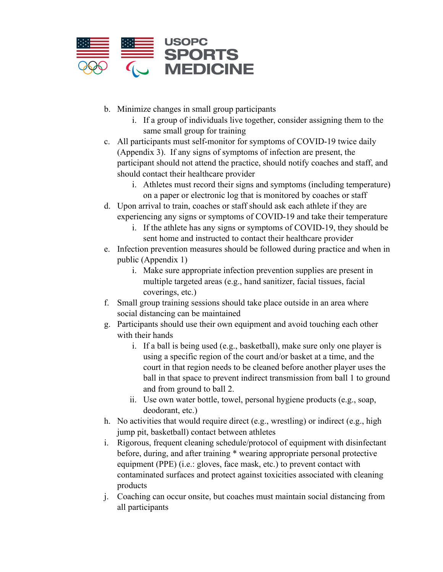

- b. Minimize changes in small group participants
	- i. If a group of individuals live together, consider assigning them to the same small group for training
- c. All participants must self-monitor for symptoms of COVID-19 twice daily (Appendix 3). If any signs of symptoms of infection are present, the participant should not attend the practice, should notify coaches and staff, and should contact their healthcare provider
	- i. Athletes must record their signs and symptoms (including temperature) on a paper or electronic log that is monitored by coaches or staff
- d. Upon arrival to train, coaches or staff should ask each athlete if they are experiencing any signs or symptoms of COVID-19 and take their temperature
	- i. If the athlete has any signs or symptoms of COVID-19, they should be sent home and instructed to contact their healthcare provider
- e. Infection prevention measures should be followed during practice and when in public (Appendix 1)
	- i. Make sure appropriate infection prevention supplies are present in multiple targeted areas (e.g., hand sanitizer, facial tissues, facial coverings, etc.)
- f. Small group training sessions should take place outside in an area where social distancing can be maintained
- g. Participants should use their own equipment and avoid touching each other with their hands
	- i. If a ball is being used (e.g., basketball), make sure only one player is using a specific region of the court and/or basket at a time, and the court in that region needs to be cleaned before another player uses the ball in that space to prevent indirect transmission from ball 1 to ground and from ground to ball 2.
	- ii. Use own water bottle, towel, personal hygiene products (e.g., soap, deodorant, etc.)
- h. No activities that would require direct (e.g., wrestling) or indirect (e.g., high jump pit, basketball) contact between athletes
- i. Rigorous, frequent cleaning schedule/protocol of equipment with disinfectant before, during, and after training \* wearing appropriate personal protective equipment (PPE) (i.e.: gloves, face mask, etc.) to prevent contact with contaminated surfaces and protect against toxicities associated with cleaning products
- j. Coaching can occur onsite, but coaches must maintain social distancing from all participants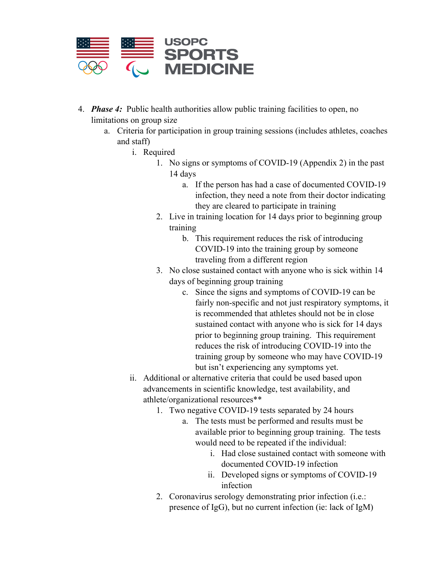

- 4. *Phase 4:* Public health authorities allow public training facilities to open, no limitations on group size
	- a. Criteria for participation in group training sessions (includes athletes, coaches and staff)
		- i. Required
			- 1. No signs or symptoms of COVID-19 (Appendix 2) in the past 14 days
				- a. If the person has had a case of documented COVID-19 infection, they need a note from their doctor indicating they are cleared to participate in training
			- 2. Live in training location for 14 days prior to beginning group training
				- b. This requirement reduces the risk of introducing COVID-19 into the training group by someone traveling from a different region
			- 3. No close sustained contact with anyone who is sick within 14 days of beginning group training
				- c. Since the signs and symptoms of COVID-19 can be fairly non-specific and not just respiratory symptoms, it is recommended that athletes should not be in close sustained contact with anyone who is sick for 14 days prior to beginning group training. This requirement reduces the risk of introducing COVID-19 into the training group by someone who may have COVID-19 but isn't experiencing any symptoms yet.
		- ii. Additional or alternative criteria that could be used based upon advancements in scientific knowledge, test availability, and athlete/organizational resources\*\*
			- 1. Two negative COVID-19 tests separated by 24 hours
				- a. The tests must be performed and results must be available prior to beginning group training. The tests would need to be repeated if the individual:
					- i. Had close sustained contact with someone with documented COVID-19 infection
					- ii. Developed signs or symptoms of COVID-19 infection
			- 2. Coronavirus serology demonstrating prior infection (i.e.: presence of IgG), but no current infection (ie: lack of IgM)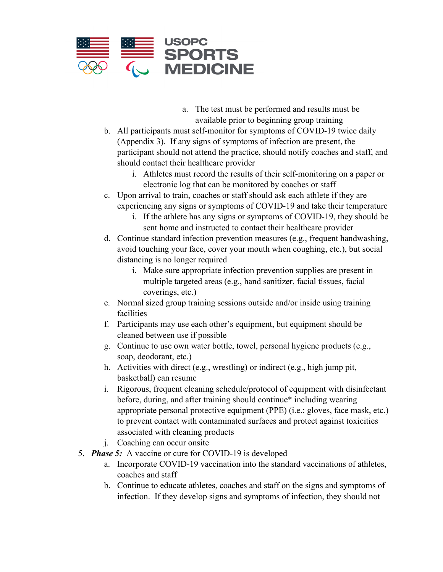

- a. The test must be performed and results must be available prior to beginning group training
- b. All participants must self-monitor for symptoms of COVID-19 twice daily (Appendix 3). If any signs of symptoms of infection are present, the participant should not attend the practice, should notify coaches and staff, and should contact their healthcare provider
	- i. Athletes must record the results of their self-monitoring on a paper or electronic log that can be monitored by coaches or staff
- c. Upon arrival to train, coaches or staff should ask each athlete if they are experiencing any signs or symptoms of COVID-19 and take their temperature
	- i. If the athlete has any signs or symptoms of COVID-19, they should be sent home and instructed to contact their healthcare provider
- d. Continue standard infection prevention measures (e.g., frequent handwashing, avoid touching your face, cover your mouth when coughing, etc.), but social distancing is no longer required
	- i. Make sure appropriate infection prevention supplies are present in multiple targeted areas (e.g., hand sanitizer, facial tissues, facial coverings, etc.)
- e. Normal sized group training sessions outside and/or inside using training facilities
- f. Participants may use each other's equipment, but equipment should be cleaned between use if possible
- g. Continue to use own water bottle, towel, personal hygiene products (e.g., soap, deodorant, etc.)
- h. Activities with direct (e.g., wrestling) or indirect (e.g., high jump pit, basketball) can resume
- i. Rigorous, frequent cleaning schedule/protocol of equipment with disinfectant before, during, and after training should continue\* including wearing appropriate personal protective equipment (PPE) (i.e.: gloves, face mask, etc.) to prevent contact with contaminated surfaces and protect against toxicities associated with cleaning products
- j. Coaching can occur onsite
- 5. *Phase 5:* A vaccine or cure for COVID-19 is developed
	- a. Incorporate COVID-19 vaccination into the standard vaccinations of athletes, coaches and staff
	- b. Continue to educate athletes, coaches and staff on the signs and symptoms of infection. If they develop signs and symptoms of infection, they should not